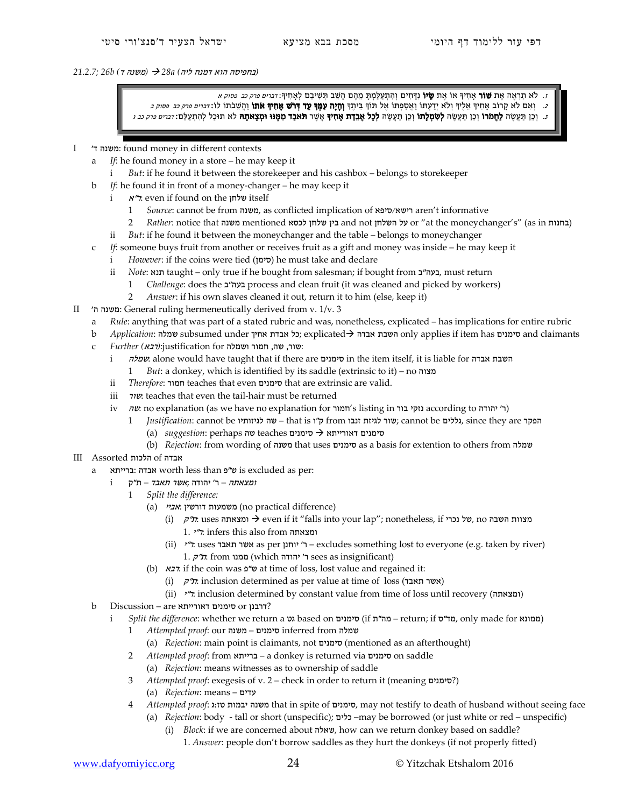## *(*בחפיסה הוא דמנח ליה*) a28 )* משנה ד*) b26; 21.2.7*

ז. לא תִרְאֵה אֵת **שׁוֹר** אֶחִיךָּ אוֹ אֵת **שֵׂיוֹ** נִדָּחִים וְהִתְעַלַמְתָּ מֵהֶם הָשֵׁב תְּשִׁיבֵם לְאָחִיךְ: *דברים פרק כב פסוק א* ב. וְאִם לֹא קָרוֹב אָחִיךְ אֵלֶיךְ וְלֹא יְדַעְתּוֹ וַאֲסַפְתוֹ אֶל תוֹךְ בֵּיתֶךְ **וְחָיָה עִמְךְ עַד דְרֹשׁ אָחִיךְ אֹתוֹ** וַהְשֵׁבֹתוֹ לוֹ : *דברים פרק כב פסוק ב* ּ. יְכֵן תַּעֲשֶׂה **לַחֲמֹרוֹ** וְכֵן תַּעֲשֶׂה **לְשָׂמְלָתוֹ** וְכֵן תַּעֲשֶׂה **לְכָל אָבֵדַת אָחִיךְ אֲשֶׁר תּאבַד מִמֶּנּוּ וּמְצָאתָהּ** לֹא תוּכַל לְהִתְעַלָּם: *דברים פרק כב ג* 

## I 'ד משנה: found money in different contexts

- *If*: he found money in a store he may keep it
	- i *But*: if he found it between the storekeeper and his cashbox belongs to storekeeper
- b *If*: he found it in front of a money-changer he may keep it
	- i <sup>א</sup>"ר: even if found on the שלחן itself
		- 1 *Source*: cannot be from משנה, as conflicted implication of סיפא/רישא aren't informative
		- 2 *Rather*: notice that משנה mentioned בין שלחן לכסא and not השלחן or "at the moneychanger's" (as in בין (as in
	- ii *But*: if he found it between the moneychanger and the table belongs to moneychanger
- c *If*: someone buys fruit from another or receives fruit as a gift and money was inside he may keep it
	- i *However*: if the coins were tied (סימן) he must take and declare
	- ii *Note*: תנא, taught only true if he bought from salesman; if bought from בעה"ב, must return
		- 1 *Challenge*: does the ב"בעה process and clean fruit (it was cleaned and picked by workers)
		- 2 *Answer*: if his own slaves cleaned it out, return it to him (else, keep it)
- II 'ה משנה: General ruling hermeneutically derived from v. 1/v. 3
	- a *Rule*: anything that was part of a stated rubric and was, nonetheless, explicated has implications for entire rubric
	- b *Application*: שמלה subsumed under אחיך אבדת כל ; explicated אבדה השבת only applies if item has סימנים and claimants
	- :שור, שה, חמור ושמלה for justification:*)*רבא*) Further* c
		- i שמלה: alone would have taught that if there are סימנים in the item itself, it is liable for אפלה
			- 1 *But*: a donkey, which is identified by its saddle (extrinsic to it) no מצוה
		- ii *Therefore*: חמור teaches that even סימנים that are extrinsic are valid.
		- iii שור: teaches that even the tail-hair must be returned
		- iv שה: no explanation (as we have no explanation for חמור' s listing in בור נזקי according to לחמור)
			- 1 *Justification*: cannot be הפקר that is ו"ק from זנבו הללים; cannot be הפקר ,**c**ince they are הפקר סימנים דאורייתא סימנים teaches שה perhaps :*suggestion*) a(
				- (b) *Rejection*: from wording of משנה that uses סימנים as a basis for extention to others from שמלה
- III Assorted הלכות of אבדה
	- a ברייתא: אבדה worth less than פ"ש is excluded as per:
		- $i$ ומצאתה ר' יהודה ;אשר תאבד ת"ק
			- 1 *Split the difference:* 
				- (a) משמעות דורשין (no practical difference) משמעות
					- (i) קידי uses ומצאתה even if it "falls into your lap"; nonetheless, if נאוות השבה סח 1. <sup>י</sup>"ר: infers this also from ומצאתה
					- (ii) <sup>י</sup>"ר: uses תאבד אשר as per יוחנן' ר excludes something lost to everyone (e.g. taken by river) ל"ק from ו' יהודה (which ו' יהודה) (sees as insignificant)
				- (b) רבא: if the coin was פ"ש at time of loss, lost value and regained it:
					- (i) *ק"ת*: inclusion determined as per value at time of loss (אשר תאבד)
						- (ii) <sup>י</sup>"ר: inclusion determined by constant value from time of loss until recovery (ומצאתה (
	- b Discussion are דאורייתא סימנים or דרבנן ?
		- i *Split the difference*: whether we return a גט based on סימנים) return; if ממונא, only made for מונא
			- 1 *Attempted proof*: our משנה סימנים inferred from שמלה
				- (a) *Rejection*: main point is claimants, not סימנים) mentioned as an afterthought)
			- 2 *Attempted proof*: from ברייתא a donkey is returned via סימנים on saddle
			- (a) *Rejection*: means witnesses as to ownership of saddle
			- 3 *Attempted proof*: exegesis of v. 2 check in order to return it (meaning סימנים (? (a) *Rejection*: means – עדים
			- 4 *Attempted proof*: ג:טז יבמות משנה that in spite of סימנים, may not testify to death of husband without seeing face
				- (a) *Rejection*: body tall or short (unspecific); כלים– may be borrowed (or just white or red unspecific)
					- (i) *Block*: if we are concerned about שאלה, how can we return donkey based on saddle? 1. *Answer*: people don't borrow saddles as they hurt the donkeys (if not properly fitted)